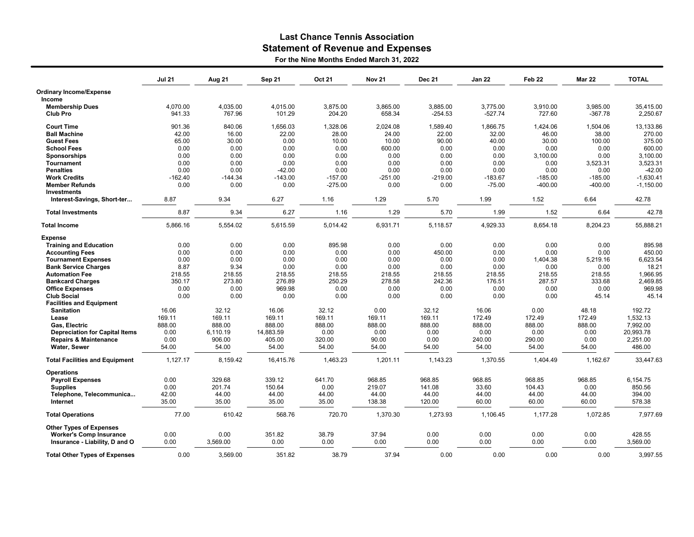## Last Chance Tennis Association Statement of Revenue and Expenses

For the Nine Months Ended March 31, 2022

|                                       | <b>Jul 21</b> | Aug 21    | <b>Sep 21</b> | Oct 21    | <b>Nov 21</b> | <b>Dec 21</b> | Jan 22    | Feb <sub>22</sub> | <b>Mar 22</b> | <b>TOTAL</b> |
|---------------------------------------|---------------|-----------|---------------|-----------|---------------|---------------|-----------|-------------------|---------------|--------------|
| <b>Ordinary Income/Expense</b>        |               |           |               |           |               |               |           |                   |               |              |
| Income                                |               |           |               |           |               |               |           |                   |               |              |
| <b>Membership Dues</b>                | 4,070.00      | 4,035.00  | 4,015.00      | 3,875.00  | 3,865.00      | 3,885.00      | 3,775.00  | 3,910.00          | 3,985.00      | 35,415.00    |
| Club Pro                              | 941.33        | 767.96    | 101.29        | 204.20    | 658.34        | $-254.53$     | $-527.74$ | 727.60            | $-367.78$     | 2,250.67     |
| <b>Court Time</b>                     | 901.36        | 840.06    | 1,656.03      | 1,328.06  | 2,024.08      | 1,589.40      | 1,866.75  | 1,424.06          | 1,504.06      | 13,133.86    |
| <b>Ball Machine</b>                   | 42.00         | 16.00     | 22.00         | 28.00     | 24.00         | 22.00         | 32.00     | 46.00             | 38.00         | 270.00       |
| <b>Guest Fees</b>                     | 65.00         | 30.00     | 0.00          | 10.00     | 10.00         | 90.00         | 40.00     | 30.00             | 100.00        | 375.00       |
| <b>School Fees</b>                    | 0.00          | 0.00      | 0.00          | 0.00      | 600.00        | 0.00          | 0.00      | 0.00              | 0.00          | 600.00       |
| Sponsorships                          | 0.00          | 0.00      | 0.00          | 0.00      | 0.00          | 0.00          | 0.00      | 3,100.00          | 0.00          | 3,100.00     |
| <b>Tournament</b>                     | 0.00          | 0.00      | 0.00          | 0.00      | 0.00          | 0.00          | 0.00      | 0.00              | 3,523.31      | 3,523.31     |
| <b>Penalties</b>                      | 0.00          | 0.00      | $-42.00$      | 0.00      | 0.00          | 0.00          | 0.00      | 0.00              | 0.00          | $-42.00$     |
| <b>Work Credits</b>                   | $-162.40$     | $-144.34$ | $-143.00$     | $-157.00$ | $-251.00$     | $-219.00$     | $-183.67$ | $-185.00$         | $-185.00$     | $-1,630.41$  |
| <b>Member Refunds</b>                 | 0.00          | 0.00      | 0.00          | $-275.00$ | 0.00          | 0.00          | $-75.00$  | $-400.00$         | $-400.00$     | $-1,150.00$  |
| <b>Investments</b>                    |               |           |               |           |               |               |           |                   |               |              |
| Interest-Savings, Short-ter           | 8.87          | 9.34      | 6.27          | 1.16      | 1.29          | 5.70          | 1.99      | 1.52              | 6.64          | 42.78        |
| <b>Total Investments</b>              | 8.87          | 9.34      | 6.27          | 1.16      | 1.29          | 5.70          | 1.99      | 1.52              | 6.64          | 42.78        |
| <b>Total Income</b>                   | 5,866.16      | 5,554.02  | 5,615.59      | 5,014.42  | 6,931.71      | 5,118.57      | 4,929.33  | 8,654.18          | 8,204.23      | 55,888.21    |
| <b>Expense</b>                        |               |           |               |           |               |               |           |                   |               |              |
| <b>Training and Education</b>         | 0.00          | 0.00      | 0.00          | 895.98    | 0.00          | 0.00          | 0.00      | 0.00              | 0.00          | 895.98       |
| <b>Accounting Fees</b>                | 0.00          | 0.00      | 0.00          | 0.00      | 0.00          | 450.00        | 0.00      | 0.00              | 0.00          | 450.00       |
| <b>Tournament Expenses</b>            | 0.00          | 0.00      | 0.00          | 0.00      | 0.00          | 0.00          | 0.00      | 1,404.38          | 5,219.16      | 6,623.54     |
| <b>Bank Service Charges</b>           | 8.87          | 9.34      | 0.00          | 0.00      | 0.00          | 0.00          | 0.00      | 0.00              | 0.00          | 18.21        |
| <b>Automation Fee</b>                 | 218.55        | 218.55    | 218.55        | 218.55    | 218.55        | 218.55        | 218.55    | 218.55            | 218.55        | 1,966.95     |
| <b>Bankcard Charges</b>               | 350.17        | 273.80    | 276.89        | 250.29    | 278.58        | 242.36        | 176.51    | 287.57            | 333.68        | 2,469.85     |
| <b>Office Expenses</b>                | 0.00          | 0.00      | 969.98        | 0.00      | 0.00          | 0.00          | 0.00      | 0.00              | 0.00          | 969.98       |
| <b>Club Social</b>                    | 0.00          | 0.00      | 0.00          | 0.00      | 0.00          | 0.00          | 0.00      | 0.00              | 45.14         | 45.14        |
| <b>Facilities and Equipment</b>       |               |           |               |           |               |               |           |                   |               |              |
| <b>Sanitation</b>                     | 16.06         | 32.12     | 16.06         | 32.12     | 0.00          | 32.12         | 16.06     | 0.00              | 48.18         | 192.72       |
| Lease                                 | 169.11        | 169.11    | 169.11        | 169.11    | 169.11        | 169.11        | 172.49    | 172.49            | 172.49        | 1,532.13     |
| Gas, Electric                         | 888.00        | 888.00    | 888.00        | 888.00    | 888.00        | 888.00        | 888.00    | 888.00            | 888.00        | 7,992.00     |
| <b>Depreciation for Capital Items</b> | 0.00          | 6,110.19  | 14,883.59     | 0.00      | 0.00          | 0.00          | 0.00      | 0.00              | 0.00          | 20,993.78    |
| <b>Repairs &amp; Maintenance</b>      | 0.00          | 906.00    | 405.00        | 320.00    | 90.00         | 0.00          | 240.00    | 290.00            | 0.00          | 2,251.00     |
| Water, Sewer                          | 54.00         | 54.00     | 54.00         | 54.00     | 54.00         | 54.00         | 54.00     | 54.00             | 54.00         | 486.00       |
|                                       |               |           |               |           |               |               |           |                   |               |              |
| <b>Total Facilities and Equipment</b> | 1,127.17      | 8,159.42  | 16,415.76     | 1.463.23  | 1,201.11      | 1.143.23      | 1.370.55  | 1,404.49          | 1,162.67      | 33.447.63    |
| <b>Operations</b>                     |               |           |               |           |               |               |           |                   |               |              |
| <b>Payroll Expenses</b>               | 0.00          | 329.68    | 339.12        | 641.70    | 968.85        | 968.85        | 968.85    | 968.85            | 968.85        | 6,154.75     |
| <b>Supplies</b>                       | 0.00          | 201.74    | 150.64        | 0.00      | 219.07        | 141.08        | 33.60     | 104.43            | 0.00          | 850.56       |
| Telephone, Telecommunica              | 42.00         | 44.00     | 44.00         | 44.00     | 44.00         | 44.00         | 44.00     | 44.00             | 44.00         | 394.00       |
| Internet                              | 35.00         | 35.00     | 35.00         | 35.00     | 138.38        | 120.00        | 60.00     | 60.00             | 60.00         | 578.38       |
| <b>Total Operations</b>               | 77.00         | 610.42    | 568.76        | 720.70    | 1,370.30      | 1,273.93      | 1,106.45  | 1,177.28          | 1,072.85      | 7.977.69     |
| <b>Other Types of Expenses</b>        |               |           |               |           |               |               |           |                   |               |              |
| <b>Worker's Comp Insurance</b>        | 0.00          | 0.00      | 351.82        | 38.79     | 37.94         | 0.00          | 0.00      | 0.00              | 0.00          | 428.55       |
| Insurance - Liability, D and O        | 0.00          | 3,569.00  | 0.00          | 0.00      | 0.00          | 0.00          | 0.00      | 0.00              | 0.00          | 3,569.00     |
|                                       | 0.00          | 3,569.00  | 351.82        | 38.79     | 37.94         | 0.00          | 0.00      | 0.00              | 0.00          | 3,997.55     |
| <b>Total Other Types of Expenses</b>  |               |           |               |           |               |               |           |                   |               |              |